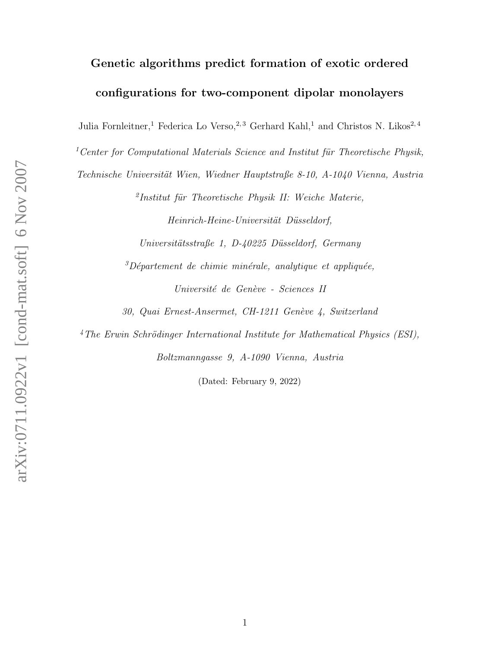## Genetic algorithms predict formation of exotic ordered configurations for two-component dipolar monolayers

Julia Fornleitner,<sup>1</sup> Federica Lo Verso,<sup>2,3</sup> Gerhard Kahl,<sup>1</sup> and Christos N. Likos<sup>2,4</sup>

<sup>1</sup> Center for Computational Materials Science and Institut für Theoretische Physik,

Technische Universität Wien, Wiedner Hauptstraße 8-10, A-1040 Vienna, Austria

<sup>2</sup>Institut für Theoretische Physik II: Weiche Materie,

Heinrich-Heine-Universität Düsseldorf,

Universitätsstraße 1, D-40225 Düsseldorf, Germany

 ${}^{3}D\acute{e}partement de chimie minérale, analytic que et appliquée,$ 

Université de Genève - Sciences II

30, Quai Ernest-Ansermet, CH-1211 Genève 4, Switzerland

 $4$ The Erwin Schrödinger International Institute for Mathematical Physics (ESI),

Boltzmanngasse 9, A-1090 Vienna, Austria

(Dated: February 9, 2022)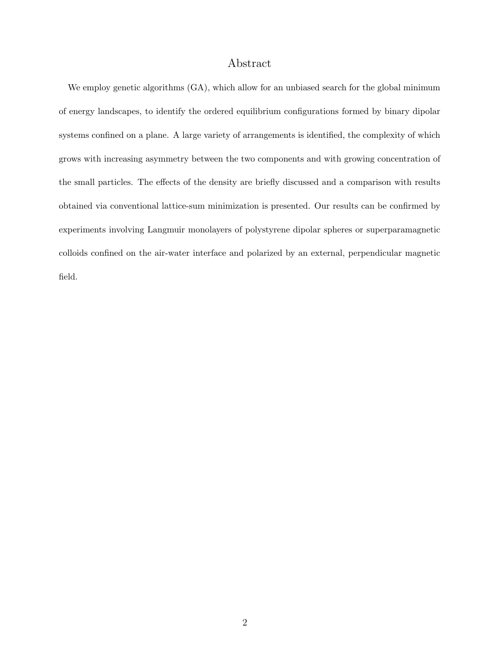## Abstract

We employ genetic algorithms  $(GA)$ , which allow for an unbiased search for the global minimum of energy landscapes, to identify the ordered equilibrium configurations formed by binary dipolar systems confined on a plane. A large variety of arrangements is identified, the complexity of which grows with increasing asymmetry between the two components and with growing concentration of the small particles. The effects of the density are briefly discussed and a comparison with results obtained via conventional lattice-sum minimization is presented. Our results can be confirmed by experiments involving Langmuir monolayers of polystyrene dipolar spheres or superparamagnetic colloids confined on the air-water interface and polarized by an external, perpendicular magnetic field.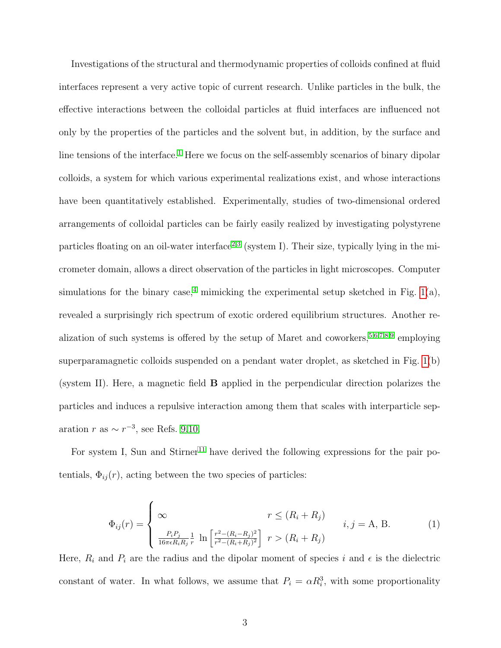Investigations of the structural and thermodynamic properties of colloids confined at fluid interfaces represent a very active topic of current research. Unlike particles in the bulk, the effective interactions between the colloidal particles at fluid interfaces are influenced not only by the properties of the particles and the solvent but, in addition, by the surface and line tensions of the interface.<sup>[1](#page-13-0)</sup> Here we focus on the self-assembly scenarios of binary dipolar colloids, a system for which various experimental realizations exist, and whose interactions have been quantitatively established. Experimentally, studies of two-dimensional ordered arrangements of colloidal particles can be fairly easily realized by investigating polystyrene particles floating on an oil-water interface<sup>[2](#page-13-1)[,3](#page-13-2)</sup> (system I). Their size, typically lying in the micrometer domain, allows a direct observation of the particles in light microscopes. Computer simulations for the binary case,<sup>[4](#page-13-3)</sup> mimicking the experimental setup sketched in Fig. [1\(](#page-3-0)a), revealed a surprisingly rich spectrum of exotic ordered equilibrium structures. Another realization of such systems is offered by the setup of Maret and coworkers,  $5,6,7,8,9$  $5,6,7,8,9$  $5,6,7,8,9$  $5,6,7,8,9$  $5,6,7,8,9$  employing superparamagnetic colloids suspended on a pendant water droplet, as sketched in Fig. [1\(](#page-3-0)b) (system II). Here, a magnetic field B applied in the perpendicular direction polarizes the particles and induces a repulsive interaction among them that scales with interparticle separation r as  $\sim r^{-3}$ , see Refs. [9,](#page-13-8)[10.](#page-13-9)

For system I, Sun and Stirner<sup>[11](#page-13-10)</sup> have derived the following expressions for the pair potentials,  $\Phi_{ij}(r)$ , acting between the two species of particles:

<span id="page-2-0"></span>
$$
\Phi_{ij}(r) = \begin{cases}\n\infty & r \le (R_i + R_j) \\
\frac{P_i P_j}{16\pi \epsilon R_i R_j} \frac{1}{r} \ln \left[ \frac{r^2 - (R_i - R_j)^2}{r^2 - (R_i + R_j)^2} \right] & r > (R_i + R_j)\n\end{cases}
$$
\n(1)

Here,  $R_i$  and  $P_i$  are the radius and the dipolar moment of species i and  $\epsilon$  is the dielectric constant of water. In what follows, we assume that  $P_i = \alpha R_i^3$ , with some proportionality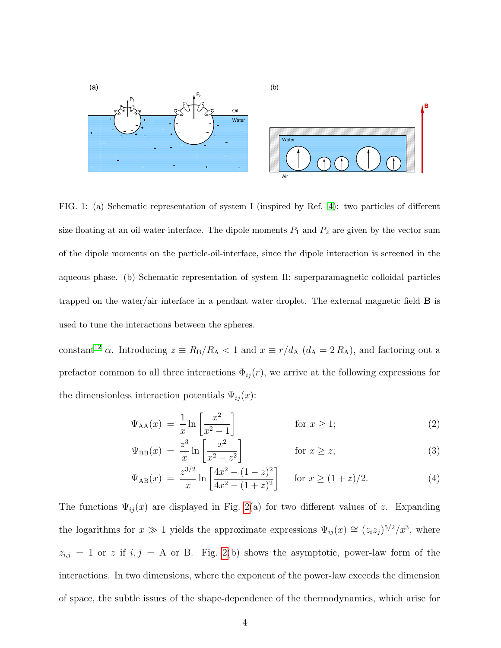

<span id="page-3-0"></span>FIG. 1: (a) Schematic representation of system I (inspired by Ref. [4\)](#page-13-3): two particles of different size floating at an oil-water-interface. The dipole moments  $P_1$  and  $P_2$  are given by the vector sum of the dipole moments on the particle-oil-interface, since the dipole interaction is screened in the aqueous phase. (b) Schematic representation of system II: superparamagnetic colloidal particles trapped on the water/air interface in a pendant water droplet. The external magnetic field  $\bf{B}$  is used to tune the interactions between the spheres.

constant<sup>[12](#page-13-11)</sup>  $\alpha$ . Introducing  $z \equiv R_{\rm B}/R_{\rm A} < 1$  and  $x \equiv r/d_{\rm A}$  ( $d_{\rm A} = 2 R_{\rm A}$ ), and factoring out a prefactor common to all three interactions  $\Phi_{ij}(r)$ , we arrive at the following expressions for the dimensionless interaction potentials  $\Psi_{ij}(x)$ :

$$
\Psi_{AA}(x) = \frac{1}{x} \ln \left[ \frac{x^2}{x^2 - 1} \right] \qquad \text{for } x \ge 1; \tag{2}
$$

$$
\Psi_{\rm BB}(x) = \frac{z^3}{x} \ln \left[ \frac{x^2}{x^2 - z^2} \right] \qquad \text{for } x \ge z;
$$
\n(3)

$$
\Psi_{AB}(x) = \frac{z^{3/2}}{x} \ln \left[ \frac{4x^2 - (1-z)^2}{4x^2 - (1+z)^2} \right] \quad \text{for } x \ge (1+z)/2. \tag{4}
$$

The functions  $\Psi_{ij}(x)$  are displayed in Fig. [2\(](#page-4-0)a) for two different values of z. Expanding the logarithms for  $x \gg 1$  yields the approximate expressions  $\Psi_{ij}(x) \cong (z_i z_j)^{5/2}/x^3$ , where  $z_{i,j} = 1$  or z if  $i, j = A$  or B. Fig. [2\(](#page-4-0)b) shows the asymptotic, power-law form of the interactions. In two dimensions, where the exponent of the power-law exceeds the dimension of space, the subtle issues of the shape-dependence of the thermodynamics, which arise for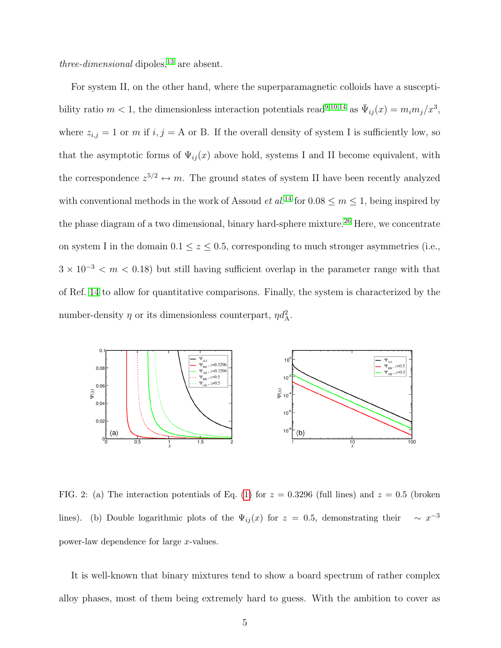three-dimensional dipoles,  $^{13}$  $^{13}$  $^{13}$  are absent.

For system II, on the other hand, where the superparamagnetic colloids have a susceptibility ratio  $m < 1$ , the dimensionless interaction potentials read<sup>[9](#page-13-8)[,10,](#page-13-9)[14](#page-14-0)</sup> as  $\bar{\Psi}_{ij}(x) = m_i m_j/x^3$ , where  $z_{i,j} = 1$  or m if  $i, j = A$  or B. If the overall density of system I is sufficiently low, so that the asymptotic forms of  $\Psi_{ij}(x)$  above hold, systems I and II become equivalent, with the correspondence  $z^{5/2} \leftrightarrow m$ . The ground states of system II have been recently analyzed with conventional methods in the work of Assoud *et al.*<sup>[14](#page-14-0)</sup> for  $0.08 \le m \le 1$ , being inspired by the phase diagram of a two dimensional, binary hard-sphere mixture.<sup>[26](#page-14-1)</sup> Here, we concentrate on system I in the domain 0.1  $\le z \le$  0.5, corresponding to much stronger asymmetries (i.e.,  $3 \times 10^{-3} < m < 0.18$ ) but still having sufficient overlap in the parameter range with that of Ref. [14](#page-14-0) to allow for quantitative comparisons. Finally, the system is characterized by the number-density  $\eta$  or its dimensionless counterpart,  $\eta d_A^2$ .



<span id="page-4-0"></span>FIG. 2: (a) The interaction potentials of Eq. [\(1\)](#page-2-0) for  $z = 0.3296$  (full lines) and  $z = 0.5$  (broken lines). (b) Double logarithmic plots of the  $\Psi_{ij}(x)$  for  $z = 0.5$ , demonstrating their −3 power-law dependence for large x-values.

It is well-known that binary mixtures tend to show a board spectrum of rather complex alloy phases, most of them being extremely hard to guess. With the ambition to cover as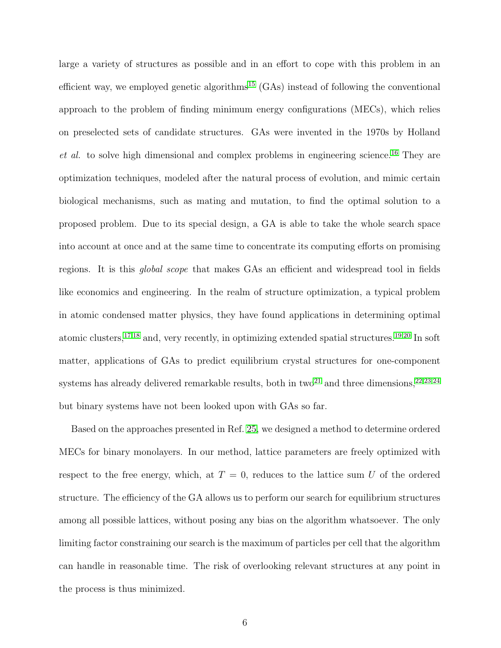large a variety of structures as possible and in an effort to cope with this problem in an efficient way, we employed genetic algorithms<sup>[15](#page-14-2)</sup> (GAs) instead of following the conventional approach to the problem of finding minimum energy configurations (MECs), which relies on preselected sets of candidate structures. GAs were invented in the 1970s by Holland  $et \ al.$  to solve high dimensional and complex problems in engineering science.<sup>[16](#page-14-3)</sup> They are optimization techniques, modeled after the natural process of evolution, and mimic certain biological mechanisms, such as mating and mutation, to find the optimal solution to a proposed problem. Due to its special design, a GA is able to take the whole search space into account at once and at the same time to concentrate its computing efforts on promising regions. It is this global scope that makes GAs an efficient and widespread tool in fields like economics and engineering. In the realm of structure optimization, a typical problem in atomic condensed matter physics, they have found applications in determining optimal atomic clusters,[17](#page-14-4)[,18](#page-14-5) and, very recently, in optimizing extended spatial structures.[19](#page-14-6)[,20](#page-14-7) In soft matter, applications of GAs to predict equilibrium crystal structures for one-component systems has already delivered remarkable results, both in two<sup>[21](#page-14-8)</sup> and three dimensions,  $22,23,24$  $22,23,24$  $22,23,24$ but binary systems have not been looked upon with GAs so far.

Based on the approaches presented in Ref. [25,](#page-14-12) we designed a method to determine ordered MECs for binary monolayers. In our method, lattice parameters are freely optimized with respect to the free energy, which, at  $T = 0$ , reduces to the lattice sum U of the ordered structure. The efficiency of the GA allows us to perform our search for equilibrium structures among all possible lattices, without posing any bias on the algorithm whatsoever. The only limiting factor constraining our search is the maximum of particles per cell that the algorithm can handle in reasonable time. The risk of overlooking relevant structures at any point in the process is thus minimized.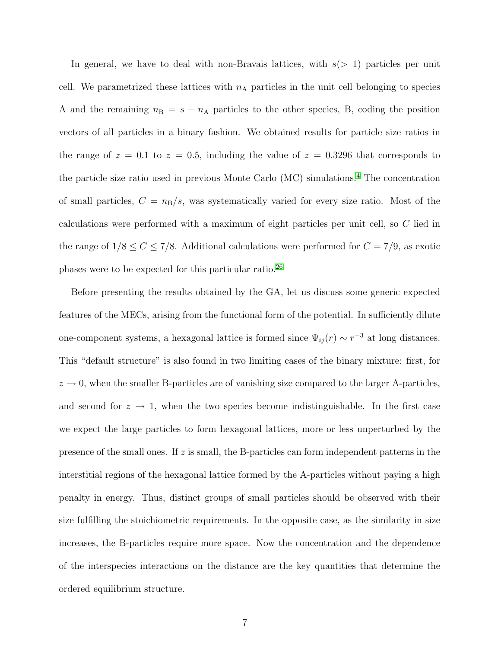In general, we have to deal with non-Bravais lattices, with  $s(> 1)$  particles per unit cell. We parametrized these lattices with  $n_A$  particles in the unit cell belonging to species A and the remaining  $n_B = s - n_A$  particles to the other species, B, coding the position vectors of all particles in a binary fashion. We obtained results for particle size ratios in the range of  $z = 0.1$  to  $z = 0.5$ , including the value of  $z = 0.3296$  that corresponds to the particle size ratio used in previous Monte Carlo (MC) simulations.<sup>[4](#page-13-3)</sup> The concentration of small particles,  $C = n_B/s$ , was systematically varied for every size ratio. Most of the calculations were performed with a maximum of eight particles per unit cell, so C lied in the range of  $1/8 \le C \le 7/8$ . Additional calculations were performed for  $C = 7/9$ , as exotic phases were to be expected for this particular ratio.[26](#page-14-1)

Before presenting the results obtained by the GA, let us discuss some generic expected features of the MECs, arising from the functional form of the potential. In sufficiently dilute one-component systems, a hexagonal lattice is formed since  $\Psi_{ij}(r) \sim r^{-3}$  at long distances. This "default structure" is also found in two limiting cases of the binary mixture: first, for  $z \rightarrow 0$ , when the smaller B-particles are of vanishing size compared to the larger A-particles, and second for  $z \to 1$ , when the two species become indistinguishable. In the first case we expect the large particles to form hexagonal lattices, more or less unperturbed by the presence of the small ones. If  $z$  is small, the B-particles can form independent patterns in the interstitial regions of the hexagonal lattice formed by the A-particles without paying a high penalty in energy. Thus, distinct groups of small particles should be observed with their size fulfilling the stoichiometric requirements. In the opposite case, as the similarity in size increases, the B-particles require more space. Now the concentration and the dependence of the interspecies interactions on the distance are the key quantities that determine the ordered equilibrium structure.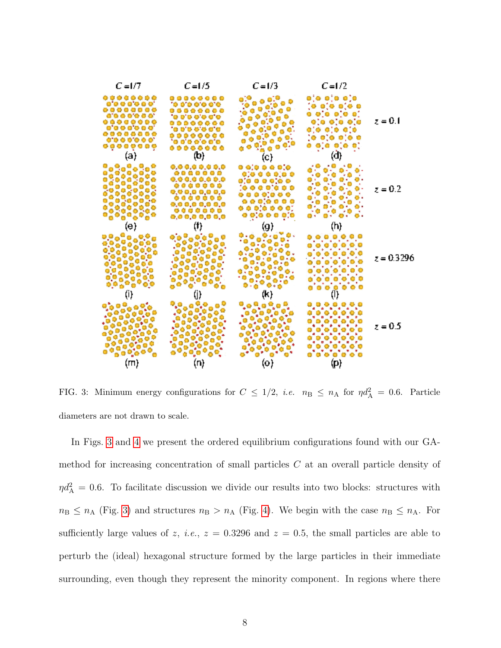

<span id="page-7-0"></span>FIG. 3: Minimum energy configurations for  $C \leq 1/2$ , *i.e.*  $n_{\rm B} \leq n_{\rm A}$  for  $\eta d_{\rm A}^2 = 0.6$ . Particle diameters are not drawn to scale.

In Figs. [3](#page-7-0) and [4](#page-8-0) we present the ordered equilibrium configurations found with our GAmethod for increasing concentration of small particles C at an overall particle density of  $\eta d_{\rm A}^2 = 0.6$ . To facilitate discussion we divide our results into two blocks: structures with  $n_{\rm B} \le n_{\rm A}$  (Fig. [3\)](#page-7-0) and structures  $n_{\rm B} > n_{\rm A}$  (Fig. [4\)](#page-8-0). We begin with the case  $n_{\rm B} \le n_{\rm A}$ . For sufficiently large values of z, *i.e.*,  $z = 0.3296$  and  $z = 0.5$ , the small particles are able to perturb the (ideal) hexagonal structure formed by the large particles in their immediate surrounding, even though they represent the minority component. In regions where there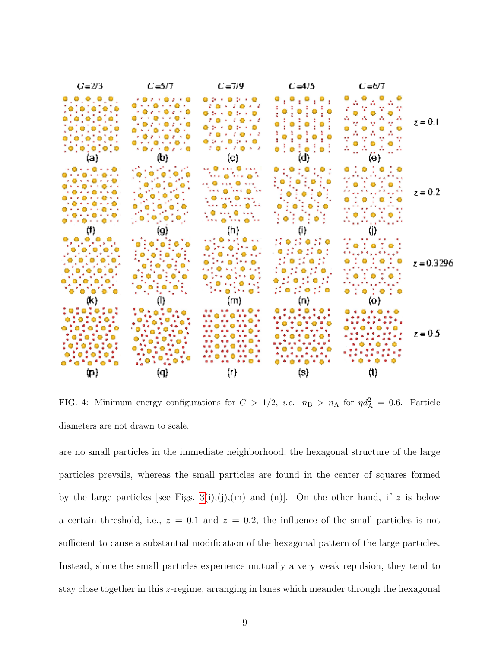

<span id="page-8-0"></span>FIG. 4: Minimum energy configurations for  $C > 1/2$ , *i.e.*  $n_{\rm B} > n_{\rm A}$  for  $\eta d_{\rm A}^2 = 0.6$ . Particle diameters are not drawn to scale.

are no small particles in the immediate neighborhood, the hexagonal structure of the large particles prevails, whereas the small particles are found in the center of squares formed by the large particles [see Figs. [3\(](#page-7-0)i),(j),(m) and (n)]. On the other hand, if z is below a certain threshold, i.e.,  $z = 0.1$  and  $z = 0.2$ , the influence of the small particles is not sufficient to cause a substantial modification of the hexagonal pattern of the large particles. Instead, since the small particles experience mutually a very weak repulsion, they tend to stay close together in this z-regime, arranging in lanes which meander through the hexagonal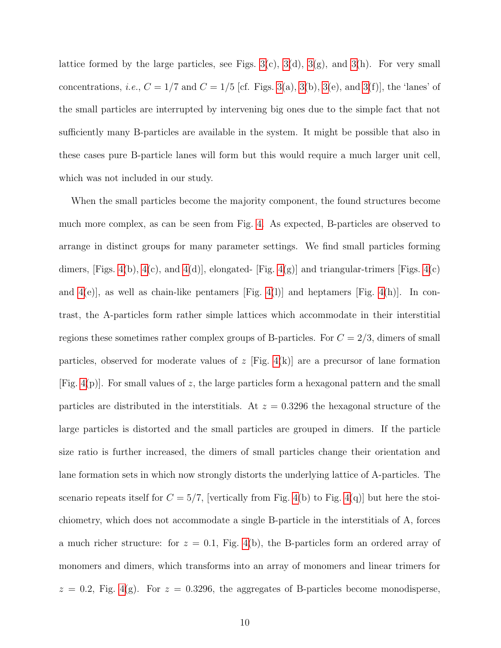lattice formed by the large particles, see Figs.  $3(c)$ ,  $3(d)$ ,  $3(g)$ , and  $3(h)$ . For very small concentrations, *i.e.*,  $C = 1/7$  and  $C = 1/5$  [cf. Figs. [3\(](#page-7-0)a), 3(b), 3(e), and 3(f)], the 'lanes' of the small particles are interrupted by intervening big ones due to the simple fact that not sufficiently many B-particles are available in the system. It might be possible that also in these cases pure B-particle lanes will form but this would require a much larger unit cell, which was not included in our study.

When the small particles become the majority component, the found structures become much more complex, as can be seen from Fig. [4.](#page-8-0) As expected, B-particles are observed to arrange in distinct groups for many parameter settings. We find small particles forming dimers, [Figs. [4\(](#page-8-0)b), 4(c), and 4(d)], elongated- [Fig. 4(g)] and triangular-trimers [Figs. 4(c) and  $4(e)$ , as well as chain-like pentamers [Fig. [4\(](#page-8-0)l)] and heptamers [Fig. 4(h)]. In contrast, the A-particles form rather simple lattices which accommodate in their interstitial regions these sometimes rather complex groups of B-particles. For  $C = 2/3$ , dimers of small particles, observed for moderate values of z [Fig. [4\(](#page-8-0)k)] are a precursor of lane formation [Fig. [4\(](#page-8-0)p)]. For small values of z, the large particles form a hexagonal pattern and the small particles are distributed in the interstitials. At  $z = 0.3296$  the hexagonal structure of the large particles is distorted and the small particles are grouped in dimers. If the particle size ratio is further increased, the dimers of small particles change their orientation and lane formation sets in which now strongly distorts the underlying lattice of A-particles. The scenario repeats itself for  $C = 5/7$ , [vertically from Fig. [4\(](#page-8-0)b) to Fig. 4(q)] but here the stoichiometry, which does not accommodate a single B-particle in the interstitials of A, forces a much richer structure: for  $z = 0.1$ , Fig. [4\(](#page-8-0)b), the B-particles form an ordered array of monomers and dimers, which transforms into an array of monomers and linear trimers for  $z = 0.2$ , Fig. [4\(](#page-8-0)g). For  $z = 0.3296$ , the aggregates of B-particles become monodisperse,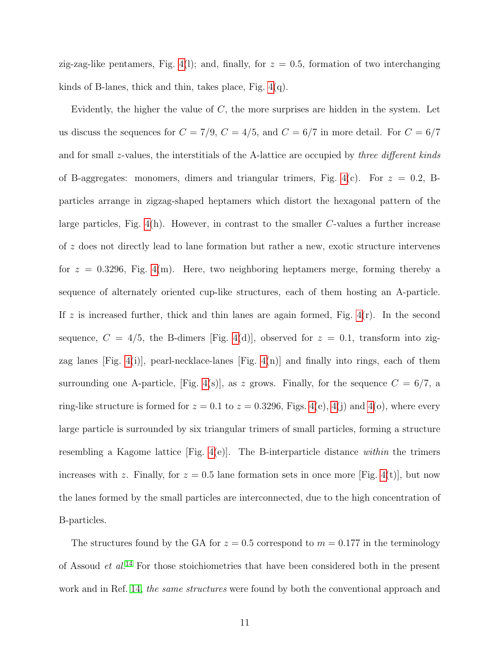zig-zag-like pentamers, Fig. [4\(](#page-8-0)1); and, finally, for  $z = 0.5$ , formation of two interchanging kinds of B-lanes, thick and thin, takes place, Fig. [4\(](#page-8-0)q).

Evidently, the higher the value of  $C$ , the more surprises are hidden in the system. Let us discuss the sequences for  $C = 7/9$ ,  $C = 4/5$ , and  $C = 6/7$  in more detail. For  $C = 6/7$ and for small z-values, the interstitials of the A-lattice are occupied by *three different kinds* of B-aggregates: monomers, dimers and triangular trimers, Fig. [4\(](#page-8-0)c). For  $z = 0.2$ , Bparticles arrange in zigzag-shaped heptamers which distort the hexagonal pattern of the large particles, Fig.  $4(h)$ . However, in contrast to the smaller C-values a further increase of z does not directly lead to lane formation but rather a new, exotic structure intervenes for  $z = 0.3296$ , Fig. [4\(](#page-8-0)m). Here, two neighboring heptamers merge, forming thereby a sequence of alternately oriented cup-like structures, each of them hosting an A-particle. If z is increased further, thick and thin lanes are again formed, Fig.  $4(r)$ . In the second sequence,  $C = 4/5$ , the B-dimers [Fig. [4\(](#page-8-0)d)], observed for  $z = 0.1$ , transform into zigzag lanes [Fig. [4\(](#page-8-0)i)], pearl-necklace-lanes [Fig. [4\(](#page-8-0)n)] and finally into rings, each of them surrounding one A-particle, [Fig. [4\(](#page-8-0)s)], as z grows. Finally, for the sequence  $C = 6/7$ , a ring-like structure is formed for  $z = 0.1$  to  $z = 0.3296$ , Figs. [4\(](#page-8-0)e), 4(j) and 4(o), where every large particle is surrounded by six triangular trimers of small particles, forming a structure resembling a Kagome lattice  $[Fig. 4(e)]$  $[Fig. 4(e)]$  $[Fig. 4(e)]$ . The B-interparticle distance within the trimers increases with z. Finally, for  $z = 0.5$  lane formation sets in once more [Fig. [4\(](#page-8-0)t)], but now the lanes formed by the small particles are interconnected, due to the high concentration of B-particles.

The structures found by the GA for  $z = 0.5$  correspond to  $m = 0.177$  in the terminology of Assoud  $et$   $al$ .<sup>[14](#page-14-0)</sup> For those stoichiometries that have been considered both in the present work and in Ref. [14,](#page-14-0) the same structures were found by both the conventional approach and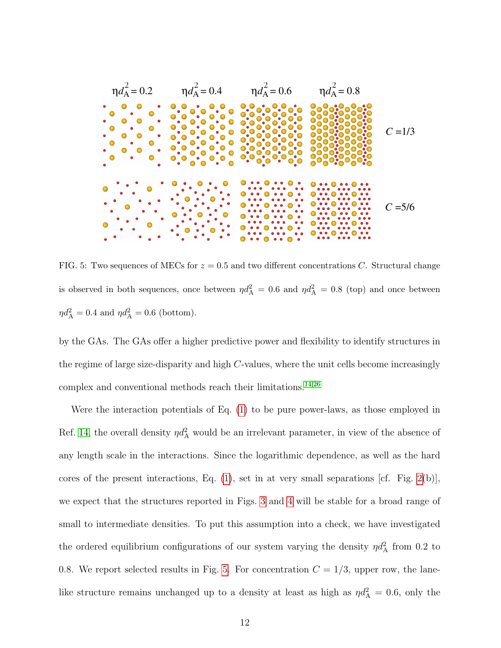

<span id="page-11-0"></span>FIG. 5: Two sequences of MECs for  $z = 0.5$  and two different concentrations C. Structural change is observed in both sequences, once between  $\eta d_A^2 = 0.6$  and  $\eta d_A^2 = 0.8$  (top) and once between  $\eta d_{\rm A}^2 = 0.4$  and  $\eta d_{\rm A}^2 = 0.6$  (bottom).

by the GAs. The GAs offer a higher predictive power and flexibility to identify structures in the regime of large size-disparity and high C-values, where the unit cells become increasingly complex and conventional methods reach their limitations.[14,](#page-14-0)[26](#page-14-1)

Were the interaction potentials of Eq. [\(1\)](#page-2-0) to be pure power-laws, as those employed in Ref. [14,](#page-14-0) the overall density  $\eta d_A^2$  would be an irrelevant parameter, in view of the absence of any length scale in the interactions. Since the logarithmic dependence, as well as the hard cores of the present interactions, Eq.  $(1)$ , set in at very small separations [cf. Fig.  $2(b)$ ], we expect that the structures reported in Figs. [3](#page-7-0) and [4](#page-8-0) will be stable for a broad range of small to intermediate densities. To put this assumption into a check, we have investigated the ordered equilibrium configurations of our system varying the density  $\eta d_A^2$  from 0.2 to 0.8. We report selected results in Fig. [5.](#page-11-0) For concentration  $C = 1/3$ , upper row, the lanelike structure remains unchanged up to a density at least as high as  $\eta d_A^2 = 0.6$ , only the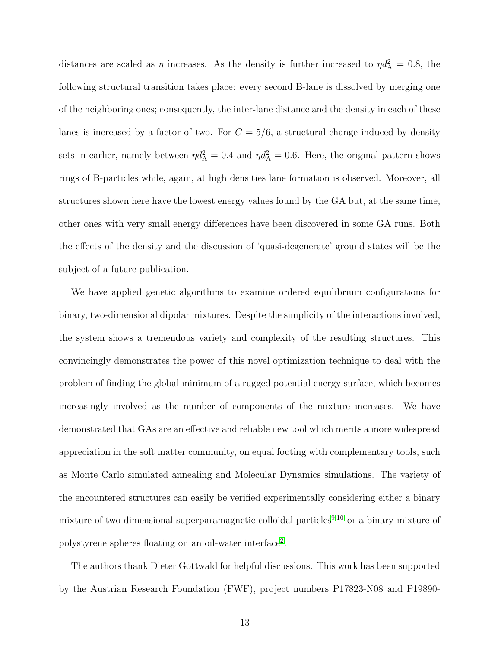distances are scaled as  $\eta$  increases. As the density is further increased to  $\eta d_A^2 = 0.8$ , the following structural transition takes place: every second B-lane is dissolved by merging one of the neighboring ones; consequently, the inter-lane distance and the density in each of these lanes is increased by a factor of two. For  $C = 5/6$ , a structural change induced by density sets in earlier, namely between  $\eta d_A^2 = 0.4$  and  $\eta d_A^2 = 0.6$ . Here, the original pattern shows rings of B-particles while, again, at high densities lane formation is observed. Moreover, all structures shown here have the lowest energy values found by the GA but, at the same time, other ones with very small energy differences have been discovered in some GA runs. Both the effects of the density and the discussion of 'quasi-degenerate' ground states will be the subject of a future publication.

We have applied genetic algorithms to examine ordered equilibrium configurations for binary, two-dimensional dipolar mixtures. Despite the simplicity of the interactions involved, the system shows a tremendous variety and complexity of the resulting structures. This convincingly demonstrates the power of this novel optimization technique to deal with the problem of finding the global minimum of a rugged potential energy surface, which becomes increasingly involved as the number of components of the mixture increases. We have demonstrated that GAs are an effective and reliable new tool which merits a more widespread appreciation in the soft matter community, on equal footing with complementary tools, such as Monte Carlo simulated annealing and Molecular Dynamics simulations. The variety of the encountered structures can easily be verified experimentally considering either a binary mixture of two-dimensional superparamagnetic colloidal particles<sup>[9,](#page-13-8)[10](#page-13-9)</sup> or a binary mixture of polystyrene spheres floating on an oil-water interface<sup>[2](#page-13-1)</sup>.

The authors thank Dieter Gottwald for helpful discussions. This work has been supported by the Austrian Research Foundation (FWF), project numbers P17823-N08 and P19890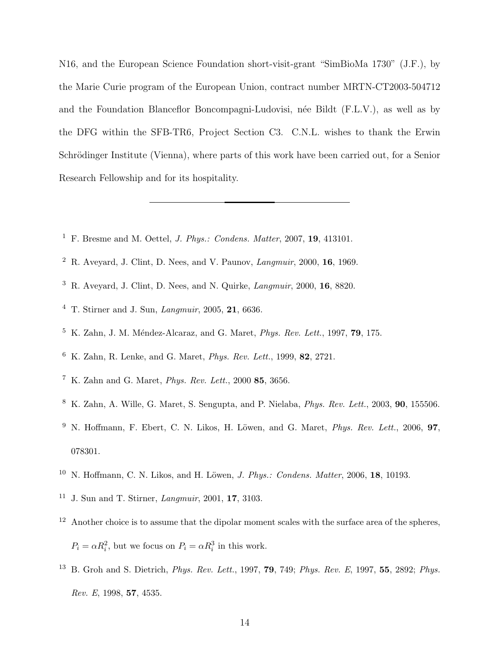N16, and the European Science Foundation short-visit-grant "SimBioMa 1730" (J.F.), by the Marie Curie program of the European Union, contract number MRTN-CT2003-504712 and the Foundation Blanceflor Boncompagni-Ludovisi, née Bildt (F.L.V.), as well as by the DFG within the SFB-TR6, Project Section C3. C.N.L. wishes to thank the Erwin Schrödinger Institute (Vienna), where parts of this work have been carried out, for a Senior Research Fellowship and for its hospitality.

- <span id="page-13-1"></span><span id="page-13-0"></span><sup>1</sup> F. Bresme and M. Oettel, *J. Phys.: Condens. Matter*, 2007, **19**, 413101.
- <span id="page-13-2"></span><sup>2</sup> R. Aveyard, J. Clint, D. Nees, and V. Paunov, *Langmuir*, 2000, **16**, 1969.
- <span id="page-13-3"></span> $3\,$  R. Aveyard, J. Clint, D. Nees, and N. Quirke, *Langmuir*, 2000, 16, 8820.
- <span id="page-13-4"></span><sup>4</sup> T. Stirner and J. Sun, Langmuir, 2005, 21, 6636.
- <span id="page-13-5"></span> $5\,$  K. Zahn, J. M. Méndez-Alcaraz, and G. Maret, *Phys. Rev. Lett.*, 1997, **79**, 175.
- <sup>6</sup> K. Zahn, R. Lenke, and G. Maret, Phys. Rev. Lett., 1999, 82, 2721.
- <span id="page-13-6"></span> $7 K.$  Zahn and G. Maret, *Phys. Rev. Lett.*, 2000 **85**, 3656.
- <span id="page-13-8"></span><span id="page-13-7"></span><sup>8</sup> K. Zahn, A. Wille, G. Maret, S. Sengupta, and P. Nielaba, Phys. Rev. Lett., 2003, 90, 155506.
- <sup>9</sup> N. Hoffmann, F. Ebert, C. N. Likos, H. Löwen, and G. Maret, *Phys. Rev. Lett.*, 2006, 97, 078301.
- <span id="page-13-10"></span><span id="page-13-9"></span> $10$  N. Hoffmann, C. N. Likos, and H. Löwen, *J. Phys.: Condens. Matter*, 2006, 18, 10193.
- <span id="page-13-11"></span><sup>11</sup> J. Sun and T. Stirner, Langmuir, 2001, 17, 3103.
- <sup>12</sup> Another choice is to assume that the dipolar moment scales with the surface area of the spheres,  $P_i = \alpha R_i^2$ , but we focus on  $P_i = \alpha R_i^3$  in this work.
- <span id="page-13-12"></span><sup>13</sup> B. Groh and S. Dietrich, *Phys. Rev. Lett.*, 1997, **79**, 749; *Phys. Rev. E*, 1997, **55**, 2892; *Phys.* Rev. E, 1998, 57, 4535.